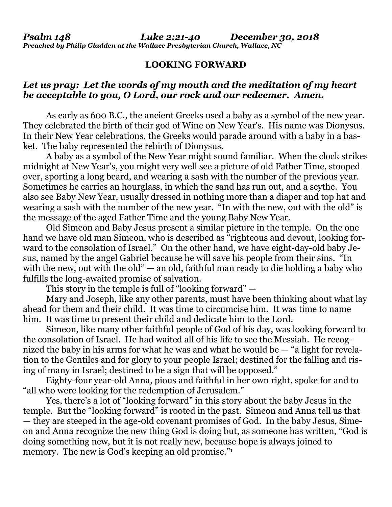## **LOOKING FORWARD**

## *Let us pray: Let the words of my mouth and the meditation of my heart be acceptable to you, O Lord, our rock and our redeemer. Amen.*

As early as 600 B.C., the ancient Greeks used a baby as a symbol of the new year. They celebrated the birth of their god of Wine on New Year's. His name was Dionysus. In their New Year celebrations, the Greeks would parade around with a baby in a basket. The baby represented the rebirth of Dionysus.

A baby as a symbol of the New Year might sound familiar. When the clock strikes midnight at New Year's, you might very well see a picture of old Father Time, stooped over, sporting a long beard, and wearing a sash with the number of the previous year. Sometimes he carries an hourglass, in which the sand has run out, and a scythe. You also see Baby New Year, usually dressed in nothing more than a diaper and top hat and wearing a sash with the number of the new year. "In with the new, out with the old" is the message of the aged Father Time and the young Baby New Year.

Old Simeon and Baby Jesus present a similar picture in the temple. On the one hand we have old man Simeon, who is described as "righteous and devout, looking forward to the consolation of Israel." On the other hand, we have eight-day-old baby Jesus, named by the angel Gabriel because he will save his people from their sins. "In with the new, out with the old" — an old, faithful man ready to die holding a baby who fulfills the long-awaited promise of salvation.

This story in the temple is full of "looking forward" —

Mary and Joseph, like any other parents, must have been thinking about what lay ahead for them and their child. It was time to circumcise him. It was time to name him. It was time to present their child and dedicate him to the Lord.

Simeon, like many other faithful people of God of his day, was looking forward to the consolation of Israel. He had waited all of his life to see the Messiah. He recognized the baby in his arms for what he was and what he would be — "a light for revelation to the Gentiles and for glory to your people Israel; destined for the falling and rising of many in Israel; destined to be a sign that will be opposed."

Eighty-four year-old Anna, pious and faithful in her own right, spoke for and to "all who were looking for the redemption of Jerusalem."

Yes, there's a lot of "looking forward" in this story about the baby Jesus in the temple. But the "looking forward" is rooted in the past. Simeon and Anna tell us that — they are steeped in the age-0ld covenant promises of God. In the baby Jesus, Simeon and Anna recognize the new thing God is doing but, as someone has written, "God is doing something new, but it is not really new, because hope is always joined to memory. The new is God's keeping an old promise."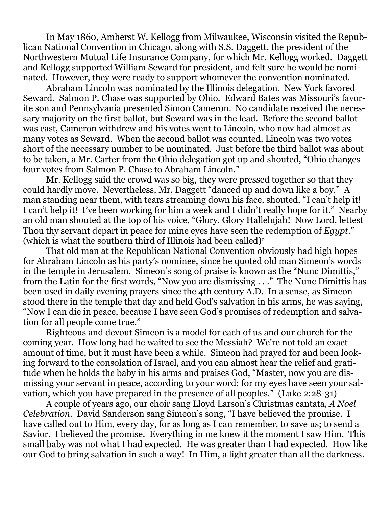In May 1860, Amherst W. Kellogg from Milwaukee, Wisconsin visited the Republican National Convention in Chicago, along with S.S. Daggett, the president of the Northwestern Mutual Life Insurance Company, for which Mr. Kellogg worked. Daggett and Kellogg supported William Seward for president, and felt sure he would be nominated. However, they were ready to support whomever the convention nominated.

Abraham Lincoln was nominated by the Illinois delegation. New York favored Seward. Salmon P. Chase was supported by Ohio. Edward Bates was Missouri's favorite son and Pennsylvania presented Simon Cameron. No candidate received the necessary majority on the first ballot, but Seward was in the lead. Before the second ballot was cast, Cameron withdrew and his votes went to Lincoln, who now had almost as many votes as Seward. When the second ballot was counted, Lincoln was two votes short of the necessary number to be nominated. Just before the third ballot was about to be taken, a Mr. Carter from the Ohio delegation got up and shouted, "Ohio changes four votes from Salmon P. Chase to Abraham Lincoln."

Mr. Kellogg said the crowd was so big, they were pressed together so that they could hardly move. Nevertheless, Mr. Daggett "danced up and down like a boy." A man standing near them, with tears streaming down his face, shouted, "I can't help it! I can't help it! I've been working for him a week and I didn't really hope for it." Nearby an old man shouted at the top of his voice, "Glory, Glory Hallelujah! Now Lord, lettest Thou thy servant depart in peace for mine eyes have seen the redemption of *Egypt*." (which is what the southern third of Illinois had been called)<sup>2</sup>

That old man at the Republican National Convention obviously had high hopes for Abraham Lincoln as his party's nominee, since he quoted old man Simeon's words in the temple in Jerusalem. Simeon's song of praise is known as the "Nunc Dimittis," from the Latin for the first words, "Now you are dismissing . . ." The Nunc Dimittis has been used in daily evening prayers since the 4th century A.D. In a sense, as Simeon stood there in the temple that day and held God's salvation in his arms, he was saying, "Now I can die in peace, because I have seen God's promises of redemption and salvation for all people come true."

Righteous and devout Simeon is a model for each of us and our church for the coming year. How long had he waited to see the Messiah? We're not told an exact amount of time, but it must have been a while. Simeon had prayed for and been looking forward to the consolation of Israel, and you can almost hear the relief and gratitude when he holds the baby in his arms and praises God, "Master, now you are dismissing your servant in peace, according to your word; for my eyes have seen your salvation, which you have prepared in the presence of all peoples." (Luke 2:28-31)

A couple of years ago, our choir sang Lloyd Larson's Christmas cantata, *A Noel Celebration*. David Sanderson sang Simeon's song, "I have believed the promise. I have called out to Him, every day, for as long as I can remember, to save us; to send a Savior. I believed the promise. Everything in me knew it the moment I saw Him. This small baby was not what I had expected. He was greater than I had expected. How like our God to bring salvation in such a way! In Him, a light greater than all the darkness.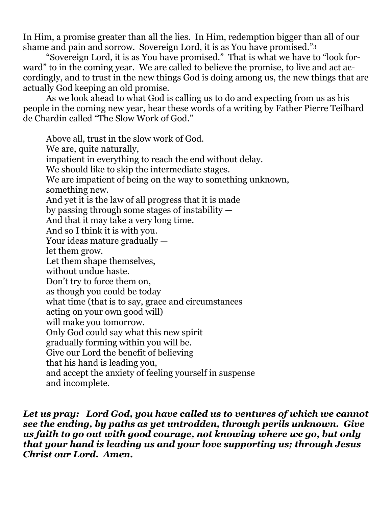In Him, a promise greater than all the lies. In Him, redemption bigger than all of our shame and pain and sorrow. Sovereign Lord, it is as You have promised."<sup>3</sup>

"Sovereign Lord, it is as You have promised." That is what we have to "look forward" to in the coming year. We are called to believe the promise, to live and act accordingly, and to trust in the new things God is doing among us, the new things that are actually God keeping an old promise.

As we look ahead to what God is calling us to do and expecting from us as his people in the coming new year, hear these words of a writing by Father Pierre Teilhard de Chardin called "The Slow Work of God."

Above all, trust in the slow work of God. We are, quite naturally, impatient in everything to reach the end without delay. We should like to skip the intermediate stages. We are impatient of being on the way to something unknown, something new. And yet it is the law of all progress that it is made by passing through some stages of instability — And that it may take a very long time. And so I think it is with you. Your ideas mature gradually let them grow. Let them shape themselves, without undue haste. Don't try to force them on, as though you could be today what time (that is to say, grace and circumstances acting on your own good will) will make you tomorrow. Only God could say what this new spirit gradually forming within you will be. Give our Lord the benefit of believing that his hand is leading you, and accept the anxiety of feeling yourself in suspense and incomplete.

*Let us pray: Lord God, you have called us to ventures of which we cannot see the ending, by paths as yet untrodden, through perils unknown. Give us faith to go out with good courage, not knowing where we go, but only that your hand is leading us and your love supporting us; through Jesus Christ our Lord. Amen.*